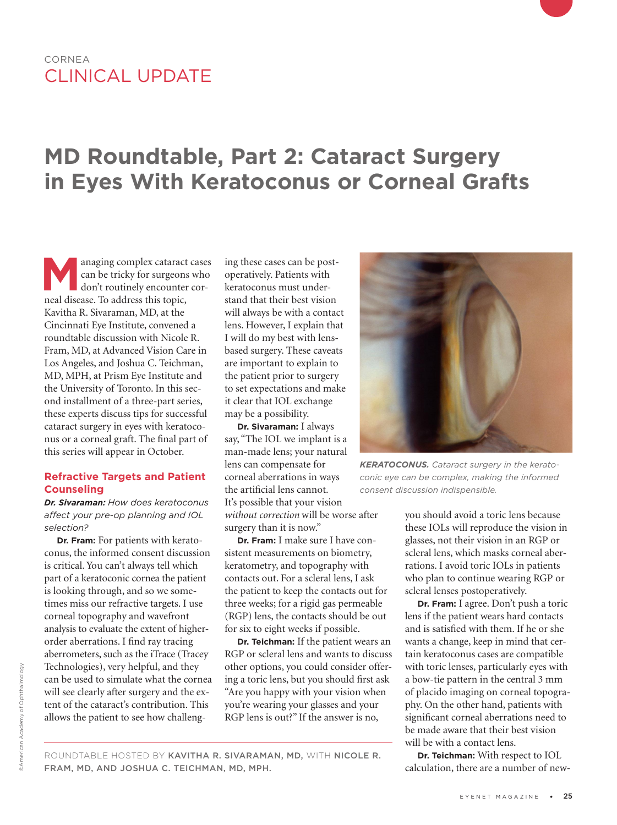### CORNEA CLINICAL UPDATE

## **MD Roundtable, Part 2: Cataract Surgery in Eyes With Keratoconus or Corneal Grafts**

Managing complex cataract cases<br>
can be tricky for surgeons who<br>
don't routinely encounter cor-<br>
real disease To address this tonic can be tricky for surgeons who don't routinely encounter corneal disease. To address this topic, Kavitha R. Sivaraman, MD, at the Cincinnati Eye Institute, convened a roundtable discussion with Nicole R. Fram, MD, at Advanced Vision Care in Los Angeles, and Joshua C. Teichman, MD, MPH, at Prism Eye Institute and the University of Toronto. In this second installment of a three-part series, these experts discuss tips for successful cataract surgery in eyes with keratoconus or a corneal graft. The final part of this series will appear in October.

#### **Refractive Targets and Patient Counseling**

*Dr. Sivaraman: How does keratoconus affect your pre-op planning and IOL selection?* 

**Dr. Fram:** For patients with keratoconus, the informed consent discussion is critical. You can't always tell which part of a keratoconic cornea the patient is looking through, and so we sometimes miss our refractive targets. I use corneal topography and wavefront analysis to evaluate the extent of higherorder aberrations. I find ray tracing aberrometers, such as the iTrace (Tracey Technologies), very helpful, and they can be used to simulate what the cornea will see clearly after surgery and the extent of the cataract's contribution. This allows the patient to see how challenging these cases can be postoperatively. Patients with keratoconus must understand that their best vision will always be with a contact lens. However, I explain that I will do my best with lensbased surgery. These caveats are important to explain to the patient prior to surgery to set expectations and make it clear that IOL exchange may be a possibility.

**Dr. Sivaraman:** I always say, "The IOL we implant is a man-made lens; your natural lens can compensate for corneal aberrations in ways the artificial lens cannot. It's possible that your vision *without correction* will be worse after surgery than it is now."

**Dr. Fram:** I make sure I have consistent measurements on biometry, keratometry, and topography with contacts out. For a scleral lens, I ask the patient to keep the contacts out for three weeks; for a rigid gas permeable (RGP) lens, the contacts should be out for six to eight weeks if possible.

**Dr. Teichman:** If the patient wears an RGP or scleral lens and wants to discuss other options, you could consider offering a toric lens, but you should first ask "Are you happy with your vision when you're wearing your glasses and your RGP lens is out?" If the answer is no,



*KERATOCONUS. Cataract surgery in the keratoconic eye can be complex, making the informed consent discussion indispensible.*

you should avoid a toric lens because these IOLs will reproduce the vision in glasses, not their vision in an RGP or scleral lens, which masks corneal aberrations. I avoid toric IOLs in patients who plan to continue wearing RGP or scleral lenses postoperatively.

**Dr. Fram:** I agree. Don't push a toric lens if the patient wears hard contacts and is satisfied with them. If he or she wants a change, keep in mind that certain keratoconus cases are compatible with toric lenses, particularly eyes with a bow-tie pattern in the central 3 mm of placido imaging on corneal topography. On the other hand, patients with significant corneal aberrations need to be made aware that their best vision will be with a contact lens.

**Dr. Teichman:** With respect to IOL calculation, there are a number of new-

ROUNDTABLE HOSTED BY KAVITHA R. SIVARAMAN, MD, WITH NICOLE R. FRAM, MD, AND JOSHUA C. TEICHMAN, MD, MPH.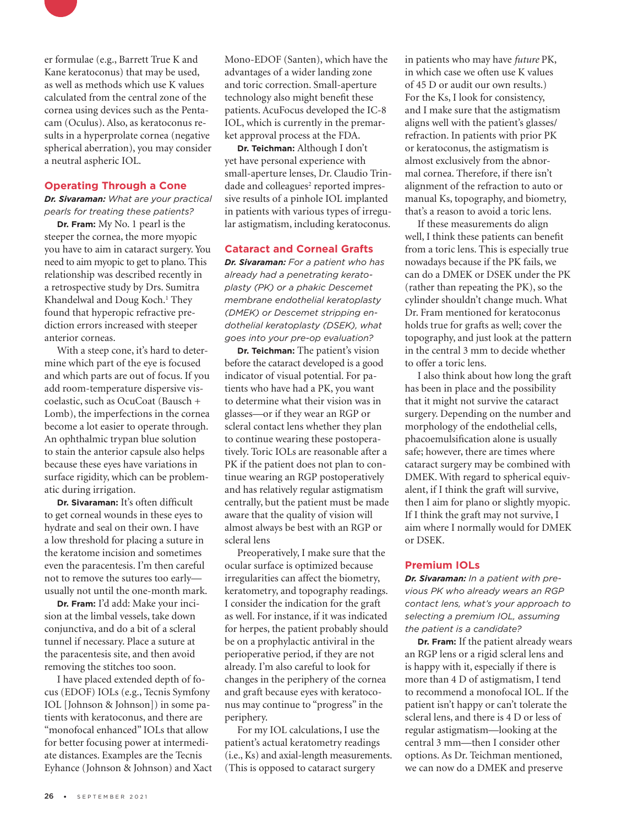

er formulae (e.g., Barrett True K and Kane keratoconus) that may be used, as well as methods which use K values calculated from the central zone of the cornea using devices such as the Pentacam (Oculus). Also, as keratoconus results in a hyperprolate cornea (negative spherical aberration), you may consider a neutral aspheric IOL.

#### **Operating Through a Cone**

*Dr. Sivaraman: What are your practical pearls for treating these patients?*

**Dr. Fram:** My No. 1 pearl is the steeper the cornea, the more myopic you have to aim in cataract surgery. You need to aim myopic to get to plano. This relationship was described recently in a retrospective study by Drs. Sumitra Khandelwal and Doug Koch.<sup>1</sup> They found that hyperopic refractive prediction errors increased with steeper anterior corneas.

With a steep cone, it's hard to determine which part of the eye is focused and which parts are out of focus. If you add room-temperature dispersive viscoelastic, such as OcuCoat (Bausch + Lomb), the imperfections in the cornea become a lot easier to operate through. An ophthalmic trypan blue solution to stain the anterior capsule also helps because these eyes have variations in surface rigidity, which can be problematic during irrigation.

**Dr. Sivaraman:** It's often difficult to get corneal wounds in these eyes to hydrate and seal on their own. I have a low threshold for placing a suture in the keratome incision and sometimes even the paracentesis. I'm then careful not to remove the sutures too early usually not until the one-month mark.

**Dr. Fram:** I'd add: Make your incision at the limbal vessels, take down conjunctiva, and do a bit of a scleral tunnel if necessary. Place a suture at the paracentesis site, and then avoid removing the stitches too soon.

I have placed extended depth of focus (EDOF) IOLs (e.g., Tecnis Symfony IOL [Johnson & Johnson]) in some patients with keratoconus, and there are "monofocal enhanced" IOLs that allow for better focusing power at intermediate distances. Examples are the Tecnis Eyhance (Johnson & Johnson) and Xact Mono-EDOF (Santen), which have the advantages of a wider landing zone and toric correction. Small-aperture technology also might benefit these patients. AcuFocus developed the IC-8 IOL, which is currently in the premarket approval process at the FDA.

**Dr. Teichman:** Although I don't yet have personal experience with small-aperture lenses, Dr. Claudio Trindade and colleagues<sup>2</sup> reported impressive results of a pinhole IOL implanted in patients with various types of irregular astigmatism, including keratoconus.

#### **Cataract and Corneal Grafts**

*Dr. Sivaraman: For a patient who has already had a penetrating keratoplasty (PK) or a phakic Descemet membrane endothelial keratoplasty (DMEK) or Descemet stripping endothelial keratoplasty (DSEK), what goes into your pre-op evaluation?*

**Dr. Teichman:** The patient's vision before the cataract developed is a good indicator of visual potential. For patients who have had a PK, you want to determine what their vision was in glasses—or if they wear an RGP or scleral contact lens whether they plan to continue wearing these postoperatively. Toric IOLs are reasonable after a PK if the patient does not plan to continue wearing an RGP postoperatively and has relatively regular astigmatism centrally, but the patient must be made aware that the quality of vision will almost always be best with an RGP or scleral lens

Preoperatively, I make sure that the ocular surface is optimized because irregularities can affect the biometry, keratometry, and topography readings. I consider the indication for the graft as well. For instance, if it was indicated for herpes, the patient probably should be on a prophylactic antiviral in the perioperative period, if they are not already. I'm also careful to look for changes in the periphery of the cornea and graft because eyes with keratoconus may continue to "progress" in the periphery.

For my IOL calculations, I use the patient's actual keratometry readings (i.e., Ks) and axial-length measurements. (This is opposed to cataract surgery

in patients who may have *future* PK, in which case we often use K values of 45 D or audit our own results.) For the Ks, I look for consistency, and I make sure that the astigmatism aligns well with the patient's glasses/ refraction. In patients with prior PK or keratoconus, the astigmatism is almost exclusively from the abnormal cornea. Therefore, if there isn't alignment of the refraction to auto or manual Ks, topography, and biometry, that's a reason to avoid a toric lens.

If these measurements do align well, I think these patients can benefit from a toric lens. This is especially true nowadays because if the PK fails, we can do a DMEK or DSEK under the PK (rather than repeating the PK), so the cylinder shouldn't change much. What Dr. Fram mentioned for keratoconus holds true for grafts as well; cover the topography, and just look at the pattern in the central 3 mm to decide whether to offer a toric lens.

I also think about how long the graft has been in place and the possibility that it might not survive the cataract surgery. Depending on the number and morphology of the endothelial cells, phacoemulsification alone is usually safe; however, there are times where cataract surgery may be combined with DMEK. With regard to spherical equivalent, if I think the graft will survive, then I aim for plano or slightly myopic. If I think the graft may not survive, I aim where I normally would for DMEK or DSEK.

#### **Premium IOLs**

*Dr. Sivaraman: In a patient with previous PK who already wears an RGP contact lens, what's your approach to selecting a premium IOL, assuming the patient is a candidate?*

**Dr. Fram:** If the patient already wears an RGP lens or a rigid scleral lens and is happy with it, especially if there is more than 4 D of astigmatism, I tend to recommend a monofocal IOL. If the patient isn't happy or can't tolerate the scleral lens, and there is 4 D or less of regular astigmatism—looking at the central 3 mm—then I consider other options. As Dr. Teichman mentioned, we can now do a DMEK and preserve